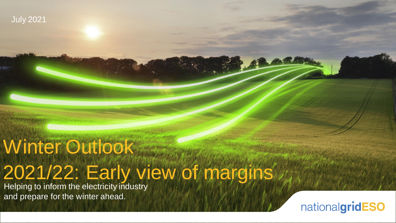

# Winter Outlook 2021/22: Early view of margins

Helping to inform the electricity industry and prepare for the winter ahead.

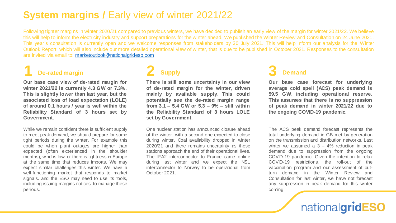### **System margins / Early view of winter 2021/22**

Following tighter margins in winter 2020/21 compared to previous winters, we have decided to publish an early view of the margin for winter 2021/22. We believe this will help to inform the electricity industry and support preparations for the winter ahead. We published the Winter Review and Consultation on 24 June 2021. This year's consultation is currently open and we welcome responses from stakeholders by 30 July 2021. This will help inform our analysis for the Winter Outlook Report, which will also include our more detailed operational view of winter, that is due to be published in October 2021. Responses to the consultation are invited via email to: [marketoutlook@nationalgrideso.com](mailto:marketoutlook@nationalgrideso.com)

## **1 De-rated margin 2 Supply 3 Demand**

**Our base case view of de-rated margin for winter 2021/22 is currently 4.3 GW or 7.3%. This is slightly lower than last year, but the associated loss of load expectation (LOLE) of around 0.1 hours / year is well within the Reliability Standard of 3 hours set by Government.**

While we remain confident there is sufficient supply to meet peak demand, we should prepare for some tight periods during the winter. For example this could be when plant outages are higher than expected (often experienced in the shoulder months), wind is low, or there is tightness in Europe at the same time that reduces imports. We may expect similar challenges this winter. We have a well-functioning market that responds to market signals. and the ESO may need to use its tools, including issuing margins notices, to manage these periods.

**There is still some uncertainty in our view of de-rated margin for the winter, driven mainly by available supply. This could potentially see the de-rated margin range from 3.1 – 5.4 GW or 5.3 – 9% – still within the Reliability Standard of 3 hours LOLE set by Government.**

One nuclear station has announced closure ahead of the winter, with a second one expected to close during winter. Coal availability dropped in winter 2020/21 and there remains uncertainty as these stations approach the end of their operational lives. The IFA2 interconnector to France came online during last winter and we expect the NSL interconnector to Norway to be operational from October 2021.

**Our base case forecast for underlying average cold spell (ACS) peak demand is 59.5 GW, including operational reserve. This assumes that there is no suppression of peak demand in winter 2021/22 due to the ongoing COVID-19 pandemic.**

The ACS peak demand forecast represents the total underlying demand in GB met by generation on the transmission and distribution networks. Last winter we assumed a  $3 - 4%$  reduction in peak demand due to suppression from the ongoing COVID-19 pandemic. Given the intention to relax COVID-19 restrictions, the roll-out of the vaccination program and our assessment of outturn demand in the Winter Review and Consultation for last winter, we have not forecast any suppression in peak demand for this winter coming.

## nationalgridESO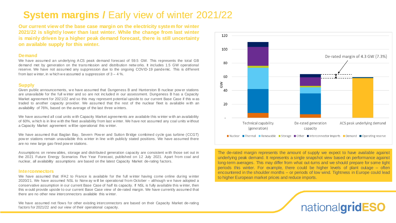## **System margins / Early view of winter 2021/22**

**Our current view of the base case margin on the electricity system for winter 2021/22 is slightly lower than last winter. While the change from last winter is mainly driven by a higher peak demand forecast, there is still uncertainty on available supply for this winter.**

#### **Demand**

We have assumed an underlying ACS peak demand forecast of 59.5 GW. This represents the total GB demand met by generation on the transmission and distribution netw orks. It includes 1.5 GW operational reserve. We have not assumed any suppression due to the ongoing COVID-19 pandemic. This is different from last w inter, in w hich w e assumed a suppression of  $3 - 4$ %.

#### **Supply**

Given public announcements, w e have assumed that Dungeness B and Hunterston B nuclear pow er stations are unavailable for the full w inter and so are not included in our assessment. Dungeness B has a Capacity Market agreement for 2021/22 and so this may represent potential upside to our current Base Case if this w as traded to another capacity provider. We assumed that the rest of the nuclear fleet is available w ith an availability of 76%, based on the average of the last three w inters.

We have assumed all coal units w ith Capacity Market agreements are available this w inter w ith an availability of 60%, w hich is in line w ith the fleet availability from last w inter. We have not assumed any coal units w ithout a Capacity Market agreement w ill be operational this w inter.

We have assumed that Baglan Bay, Severn Pow er and Sutton Bridge combined cycle gas turbine (CCGT) pow er stations remain unavailable this w inter in line w ith publicly stated positions. We have assumed there are no new large gas-fired pow er stations.

Assumptions on renew ables, storage and distributed generation capacity are consistent w ith those set out in the 2021 Future Energy Scenarios Five Year Forecast, published on 12 July 2021. Apart from coal and nuclear, all availability assumptions are based on the latest Capacity Market de-rating factors.

#### **Interconnectors**

We have assumed that IFA2 to France is available for the full winter having come online during winter 2020/21. We have assumed NSL to Norw ay w ill be operational from October – although w e have adopted a conservative assumption in our current Base Case of half its capacity. If NSL is fully available this w inter, then this w ould provide upside to our current Base Case view of de-rated margin. We have currently assumed that there are no other new interconnectors available this w inter.

We have assumed net flows for other existing interconnectors are based on their Capacity Market de-rating factors for 2021/22 and our view of their operational capacity.



The de-rated margin represents the amount of supply we expect to have available against underlying peak demand. It represents a single snapshot view based on performance against long-term averages. This may differ from what out-turns and we should prepare for some tight periods this winter. For example, there could be higher levels of plant outage – often encountered in the shoulder months – or periods of low wind. Tightness in Europe could lead to higher European market prices and reduce imports.